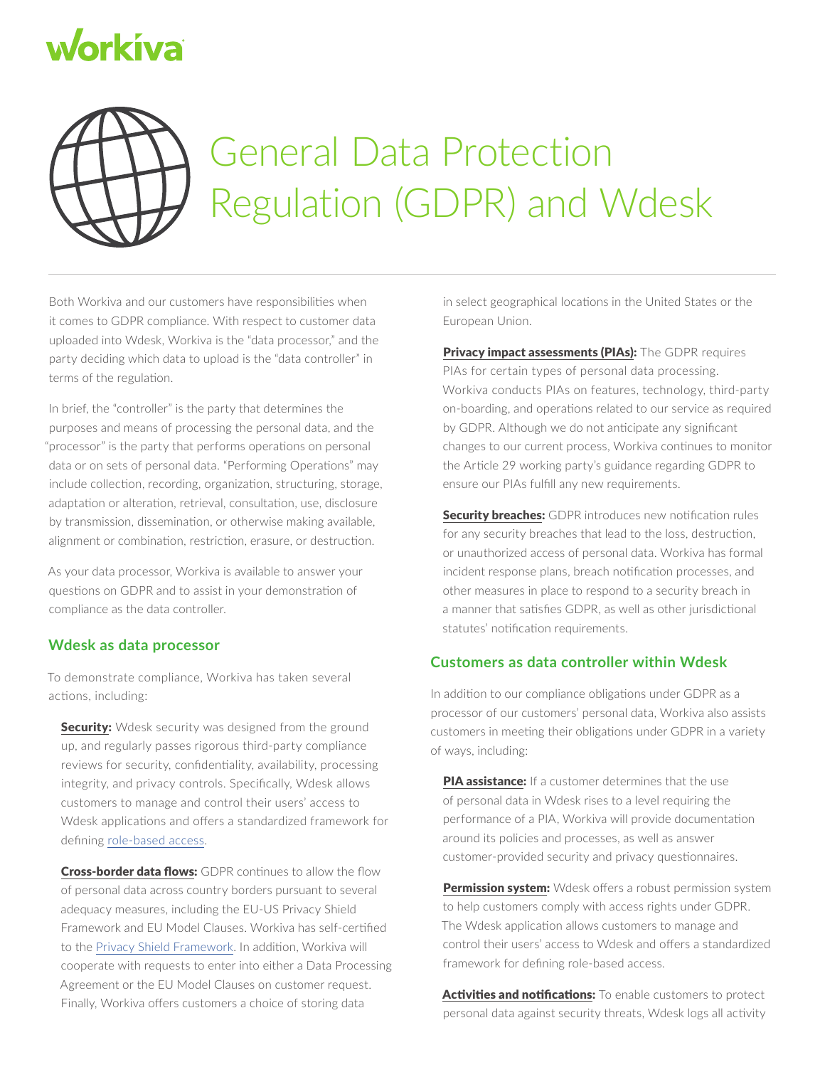## workiva



## General Data Protection Regulation (GDPR) and Wdesk

Both Workiva and our customers have responsibilities when it comes to GDPR compliance. With respect to customer data uploaded into Wdesk, Workiva is the "data processor," and the party deciding which data to upload is the "data controller" in terms of the regulation.

In brief, the "controller" is the party that determines the purposes and means of processing the personal data, and the "processor" is the party that performs operations on personal data or on sets of personal data. "Performing Operations" may include collection, recording, organization, structuring, storage, adaptation or alteration, retrieval, consultation, use, disclosure by transmission, dissemination, or otherwise making available, alignment or combination, restriction, erasure, or destruction.

As your data processor, Workiva is available to answer your questions on GDPR and to assist in your demonstration of compliance as the data controller.

## **Wdesk as data processor**

To demonstrate compliance, Workiva has taken several actions, including:

**Security:** Wdesk security was designed from the ground up, and regularly passes rigorous third-party compliance reviews for security, confidentiality, availability, processing integrity, and privacy controls. Specifically, Wdesk allows customers to manage and control their users' access to Wdesk applications and offers a standardized framework for defining [role-based access.](https://www.workiva.com/wdesk?flexslider_nav_tabs=4)

Cross-border data flows: GDPR continues to allow the flow of personal data across country borders pursuant to several adequacy measures, including the EU-US Privacy Shield Framework and EU Model Clauses. Workiva has self-certified to the [Privacy Shield Framework](https://www.privacyshield.gov/EU-US-Framework). In addition, Workiva will cooperate with requests to enter into either a Data Processing Agreement or the EU Model Clauses on customer request. Finally, Workiva offers customers a choice of storing data

in select geographical locations in the United States or the European Union.

Privacy impact assessments (PIAs): The GDPR requires PIAs for certain types of personal data processing. Workiva conducts PIAs on features, technology, third-party on-boarding, and operations related to our service as required by GDPR. Although we do not anticipate any significant changes to our current process, Workiva continues to monitor the Article 29 working party's guidance regarding GDPR to ensure our PIAs fulfill any new requirements.

Security breaches: GDPR introduces new notification rules for any security breaches that lead to the loss, destruction, or unauthorized access of personal data. Workiva has formal incident response plans, breach notification processes, and other measures in place to respond to a security breach in a manner that satisfies GDPR, as well as other jurisdictional statutes' notification requirements.

## **Customers as data controller within Wdesk**

In addition to our compliance obligations under GDPR as a processor of our customers' personal data, Workiva also assists customers in meeting their obligations under GDPR in a variety of ways, including:

PIA assistance: If a customer determines that the use of personal data in Wdesk rises to a level requiring the performance of a PIA, Workiva will provide documentation around its policies and processes, as well as answer customer-provided security and privacy questionnaires.

Permission system: Wdesk offers a robust permission system to help customers comply with access rights under GDPR. The Wdesk application allows customers to manage and control their users' access to Wdesk and offers a standardized framework for defining role-based access.

Activities and notifications: To enable customers to protect personal data against security threats, Wdesk logs all activity